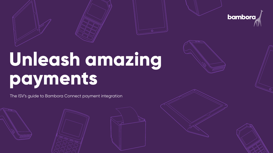

# **Unleash amazing payments**

The ISV's guide to Bambora Connect payment integration







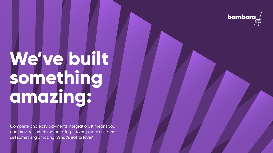# **We've built something amazing:**

Complete and easy payments integration. It means you can provide something amazing – to help your customers sell something amazing. **What's not to love?**



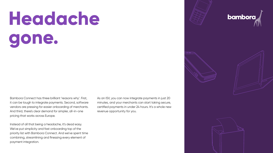# **Headache gone.**

Bambora Connect has three brilliant 'reasons why'. First, it can be tough to integrate payments. Second, software vendors are pressing for easier onboarding of merchants. And third, there's clear demand for simpler, all-in-one pricing that works across Europe.

Instead of all that being a headache, it's dead easy. We've put simplicity and fast onboarding top of the priority list with Bambora Connect. And we've spent time combining, streamlining and finessing every element of payment integration.

As an ISV, you can now integrate payments in just 20 minutes, and your merchants can start taking secure, certified payments in under 24 hours. It's a whole new revenue opportunity for you.







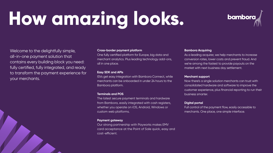# **How amazing looks.**

**Cross-border payment platform** One fully certified platform for Europe, big data and merchant analytics. Plus leading technology add-ons, all in one place.

#### **Easy SDK and APIs**

### ISVs get easy integration with Bambora Connect, while merchants can be onboarded in under 24 hours to the

Bambora platform.

#### **Terminals and POS**

## The latest secure payment terminals and hardware from Bambora, easily integrated with cash registers, whether you operate on iOS, Android, Windows or

As a leading acquirer, we help merchants to increase conversion rates, lower costs and prevent fraud. And we're among the fastest to provide payouts on the market with next business day settlement.

custom web platforms.

#### **Payment gateway**

Our strong partnership with Payworks makes EMV card acceptance at the Point of Sale quick, easy and cost-efficient.

## **bamborg**

#### **Bambora Acquiring**

Welcome to the delightfully simple, all-in-one payment solution that contains every building block you need: fully certified, fully integrated, and ready to transform the payment experience for your merchants.

#### **Merchant support**

Now there's a single solution merchants can trust with consolidated hardware and software to improve the customer experience, plus financial reporting to run their business smarter.

### **Digital portal**

Full control of the payment flow, easily accessible to merchants. One place, one simple interface.



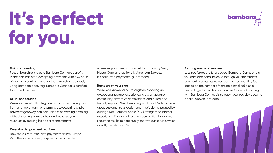#### **Quick onboarding**

Fast onboarding is a core Bambora Connect benefit. Merchants can start accepting payments within 24 hours of signing a contract, and for those merchants already using Bambora acquiring, Bambora Connect is certified for immediate use.

### **All-in-one solution**

wherever your merchants want to trade – by Visa, MasterCard and optionally American Express. It's pain-free payments, guaranteed.

We're your most fully integrated solution: with everything from a range of payment terminals to acquiring and a payment gateway. You can unleash something amazing without starting from scratch, and increase your revenues by making life easier for merchants.

### **Cross-border payment platform**

Now there's zero issue with payments across Europe. With the same process, payments are accepted

#### **Bambora on your side**

We're well known for our strength in providing an exceptional partner experience, a vibrant partner community, attractive commissions and skilled and friendly support. We closely align with our ISVs to provide great customer satisfaction and that's demonstrated by our high Net Promoter Score (NPS) ratings for customer experience. They're not just numbers to Bambora – we scour the results to continually improve our service, which directly benefit our ISVs.

# bambora

#### **A strong source of revenue**

Let's not forget profit, of course. Bambora Connect lets you earn additional revenue through your merchants' payment processing, so you earn a fixed monthly fee (based on the number of terminals installed) plus a percentage-based transaction fee. Since onboarding with Bambora Connect is so easy, it can quickly become a serious revenue stream.





# **It's perfect for you.**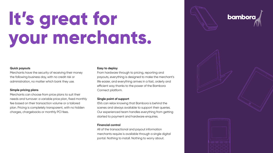# **It's great for your merchants.**

#### **Quick payouts**

Merchants have the security of receiving their money the following business day, with no credit risk or administration, no matter which bank they use.

### **Simple pricing plans**

Merchants can choose from price plans to suit their needs and turnover: a variable price plan, fixed monthly fee based on their transaction volume or a tailored plan. Pricing is completely transparent, with no hidden charges, chargebacks or monthly PCI fees.

#### **Easy to deploy**

From hardware through to pricing, reporting and payouts, everything is designed to make the merchant's life easier, and everything arrives in a fast, orderly and efficient way thanks to the power of the Bambora Connect platform.

#### **Single point of support**

ISVs can relax knowing that Bambora is behind the scenes and always available to support their queries. Our experienced team handles everything from getting started to payment and hardware enquiries.

### **Financial control**

All of the transactional and payout information merchants require is available through a single digital portal. Nothing to install. Nothing to worry about.







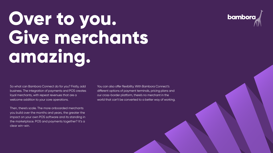# **Over to you.**  Give merchants **amazing.**

So what can Bambora Connect do for you? Firstly, add business. The integration of payments and POS creates loyal merchants, with repeat revenues that are a welcome addition to your core operations.

You can also offer flexibility. With Bambora Connect's different options of payment terminals, pricing plans and our cross-border platform, there's no merchant in the world that can't be converted to a better way of working.

## **bambora**





Then, there's scale. The more onboarded merchants you build over the months and years, the greater the impact on your own POS software and its standing in the marketplace. POS and payments together? It's a clear win-win.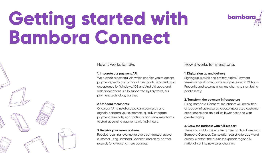# **Getting started with Bambora Connect**



### How it works for ISVs

### **1. Integrate our payment API**

We provide a powerful API which enables you to accept payments, verify and onboard merchants. Payment card acceptance for Windows, iOS and Android apps, and web applications is fully supported by Payworks, our payment technology partner.

### **2. Onboard merchants**

Once our API is installed, you can seamlessly and digitally onboard your customers, quickly integrate payment terminals, sign contracts and allow merchants to start accepting payments within 24 hours.

### **3. Receive your revenue share**

Receive recurring revenue for every contracted, active customer using Bambora Connect, and enjoy partner rewards for attracting more business.

# **bambora**

### How it works for merchants

### **1. Digital sign up and delivery**

Signing up is quick and entirely digital. Payment terminals are shipped and usually received in 24 hours. Preconfigured settings allow merchants to start being paid directly.

### **2. Transform the payment infrastructure**

Using Bambora Connect, merchants will break free of legacy infrastructures, create integrated customer experiences and do it all at lower cost and with greater agility.

### **3. Grow the business with full support**

There's no limit to the efficiency merchants will see with Bambora Connect. Our solution scales affordably and quickly, whether the business expands regionally, nationally or into new sales channels.